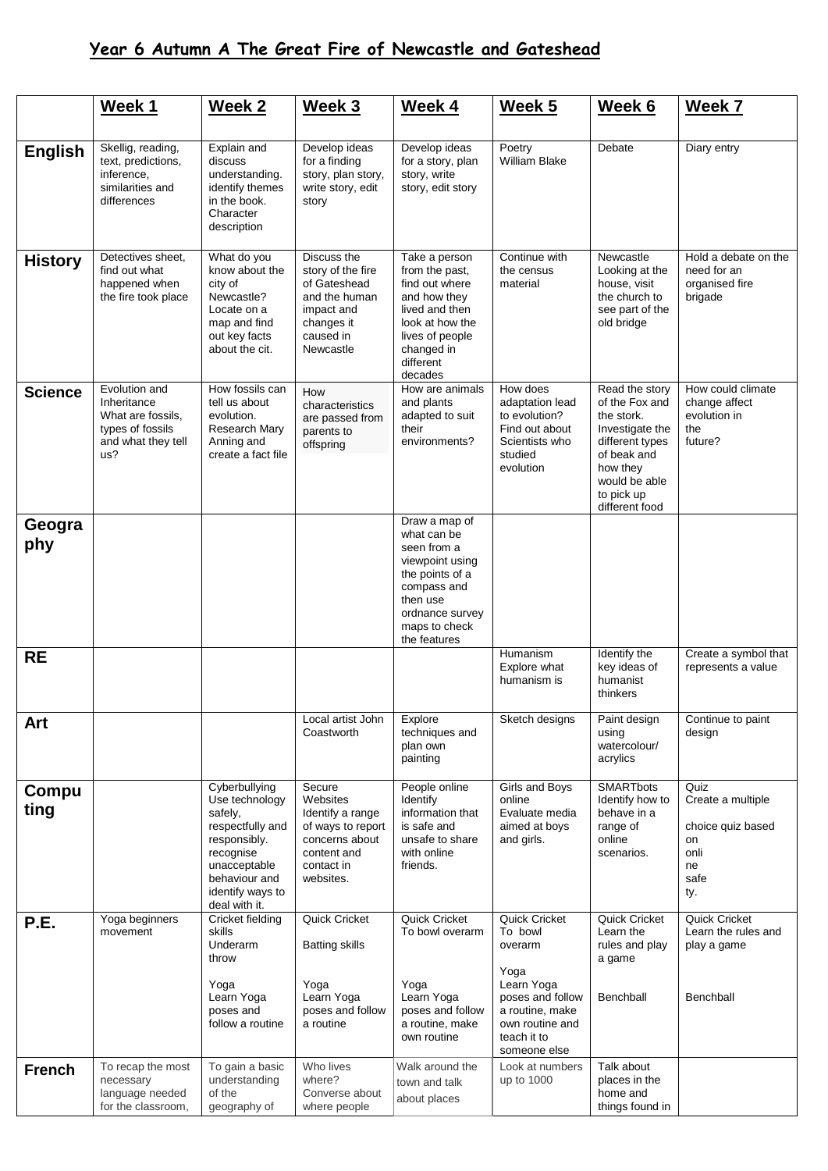## **Year 6 Autumn A The Great Fire of Newcastle and Gateshead**

|                | Week 1                                                                                             | <b>Week 2</b>                                                                                                                                                     | Week 3                                                                                                                  | Week 4                                                                                                                                                           | Week 5                                                                                                                                                    | Week 6                                                                                                                                                           | Week 7                                                                            |
|----------------|----------------------------------------------------------------------------------------------------|-------------------------------------------------------------------------------------------------------------------------------------------------------------------|-------------------------------------------------------------------------------------------------------------------------|------------------------------------------------------------------------------------------------------------------------------------------------------------------|-----------------------------------------------------------------------------------------------------------------------------------------------------------|------------------------------------------------------------------------------------------------------------------------------------------------------------------|-----------------------------------------------------------------------------------|
| <b>English</b> | Skellig, reading,<br>text, predictions,<br>inference,<br>similarities and<br>differences           | Explain and<br>discuss<br>understanding.<br>identify themes<br>in the book.<br>Character<br>description                                                           | Develop ideas<br>for a finding<br>story, plan story,<br>write story, edit<br>story                                      | Develop ideas<br>for a story, plan<br>story, write<br>story, edit story                                                                                          | Poetry<br><b>William Blake</b>                                                                                                                            | Debate                                                                                                                                                           | Diary entry                                                                       |
| <b>History</b> | Detectives sheet,<br>find out what<br>happened when<br>the fire took place                         | What do you<br>know about the<br>city of<br>Newcastle?<br>Locate on a<br>map and find<br>out key facts<br>about the cit.                                          | Discuss the<br>story of the fire<br>of Gateshead<br>and the human<br>impact and<br>changes it<br>caused in<br>Newcastle | Take a person<br>from the past,<br>find out where<br>and how they<br>lived and then<br>look at how the<br>lives of people<br>changed in<br>different<br>decades  | Continue with<br>the census<br>material                                                                                                                   | Newcastle<br>Looking at the<br>house, visit<br>the church to<br>see part of the<br>old bridge                                                                    | Hold a debate on the<br>need for an<br>organised fire<br>brigade                  |
| <b>Science</b> | Evolution and<br>Inheritance<br>What are fossils,<br>types of fossils<br>and what they tell<br>us? | How fossils can<br>tell us about<br>evolution.<br>Research Mary<br>Anning and<br>create a fact file                                                               | How<br>characteristics<br>are passed from<br>parents to<br>offspring                                                    | How are animals<br>and plants<br>adapted to suit<br>their<br>environments?                                                                                       | How does<br>adaptation lead<br>to evolution?<br>Find out about<br>Scientists who<br>studied<br>evolution                                                  | Read the story<br>of the Fox and<br>the stork.<br>Investigate the<br>different types<br>of beak and<br>how they<br>would be able<br>to pick up<br>different food | How could climate<br>change affect<br>evolution in<br>the<br>future?              |
| Geogra<br>phy  |                                                                                                    |                                                                                                                                                                   |                                                                                                                         | Draw a map of<br>what can be<br>seen from a<br>viewpoint using<br>the points of a<br>compass and<br>then use<br>ordnance survey<br>maps to check<br>the features |                                                                                                                                                           |                                                                                                                                                                  |                                                                                   |
| <b>RE</b>      |                                                                                                    |                                                                                                                                                                   |                                                                                                                         |                                                                                                                                                                  | Humanism<br>Explore what<br>humanism is                                                                                                                   | Identify the<br>key ideas of<br>humanist<br>thinkers                                                                                                             | Create a symbol that<br>represents a value                                        |
| Art            |                                                                                                    |                                                                                                                                                                   | Local artist John<br>Coastworth                                                                                         | Explore<br>techniques and<br>plan own<br>painting                                                                                                                | Sketch designs                                                                                                                                            | Paint design<br>using<br>watercolour/<br>acrylics                                                                                                                | Continue to paint<br>design                                                       |
| Compu<br>ting  |                                                                                                    | Cyberbullying<br>Use technology<br>safely,<br>respectfully and<br>responsibly.<br>recognise<br>unacceptable<br>behaviour and<br>identify ways to<br>deal with it. | Secure<br>Websites<br>Identify a range<br>of ways to report<br>concerns about<br>content and<br>contact in<br>websites. | People online<br>Identify<br>information that<br>is safe and<br>unsafe to share<br>with online<br>friends.                                                       | Girls and Boys<br>online<br>Evaluate media<br>aimed at boys<br>and girls.                                                                                 | <b>SMARTbots</b><br>Identify how to<br>behave in a<br>range of<br>online<br>scenarios.                                                                           | Quiz<br>Create a multiple<br>choice quiz based<br>on<br>onli<br>ne<br>safe<br>ty. |
| P.E.           | Yoga beginners<br>movement                                                                         | Cricket fielding<br>skills<br>Underarm<br>throw<br>Yoga<br>Learn Yoga<br>poses and<br>follow a routine                                                            | Quick Cricket<br><b>Batting skills</b><br>Yoga<br>Learn Yoga<br>poses and follow<br>a routine                           | Quick Cricket<br>To bowl overarm<br>Yoga<br>Learn Yoga<br>poses and follow<br>a routine, make<br>own routine                                                     | <b>Quick Cricket</b><br>To bowl<br>overarm<br>Yoga<br>Learn Yoga<br>poses and follow<br>a routine, make<br>own routine and<br>teach it to<br>someone else | Quick Cricket<br>Learn the<br>rules and play<br>a game<br>Benchball                                                                                              | Quick Cricket<br>Learn the rules and<br>play a game<br>Benchball                  |
| <b>French</b>  | To recap the most<br>necessary<br>language needed<br>for the classroom,                            | To gain a basic<br>understanding<br>of the<br>geography of                                                                                                        | Who lives<br>where?<br>Converse about<br>where people                                                                   | Walk around the<br>town and talk<br>about places                                                                                                                 | Look at numbers<br>up to 1000                                                                                                                             | Talk about<br>places in the<br>home and<br>things found in                                                                                                       |                                                                                   |